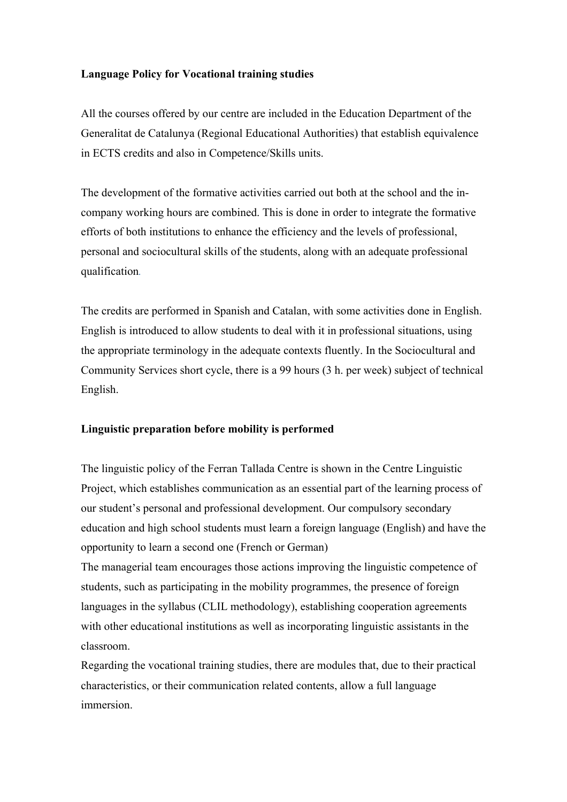## **Language Policy for Vocational training studies**

All the courses offered by our centre are included in the Education Department of the Generalitat de Catalunya (Regional Educational Authorities) that establish equivalence in ECTS credits and also in Competence/Skills units.

The development of the formative activities carried out both at the school and the incompany working hours are combined. This is done in order to integrate the formative efforts of both institutions to enhance the efficiency and the levels of professional, personal and sociocultural skills of the students, along with an adequate professional qualification*.*

The credits are performed in Spanish and Catalan, with some activities done in English. English is introduced to allow students to deal with it in professional situations, using the appropriate terminology in the adequate contexts fluently. In the Sociocultural and Community Services short cycle, there is a 99 hours (3 h. per week) subject of technical English.

# **Linguistic preparation before mobility is performed**

The linguistic policy of the Ferran Tallada Centre is shown in the Centre Linguistic Project, which establishes communication as an essential part of the learning process of our student's personal and professional development. Our compulsory secondary education and high school students must learn a foreign language (English) and have the opportunity to learn a second one (French or German)

The managerial team encourages those actions improving the linguistic competence of students, such as participating in the mobility programmes, the presence of foreign languages in the syllabus (CLIL methodology), establishing cooperation agreements with other educational institutions as well as incorporating linguistic assistants in the classroom.

Regarding the vocational training studies, there are modules that, due to their practical characteristics, or their communication related contents, allow a full language immersion.